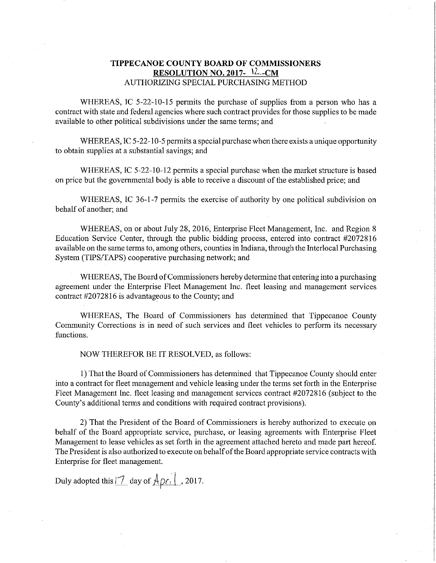## TIPPECANOE COUNTY BOARD OF COMMISSIONERS RESOLUTION NO. 2017- $12$ .-CM . AUTHORIZING SPECIAL PURCHASING METHOD

WHEREAS, IC 5-22-10-15 permits the purchase of supplies from a person who has a contract with state and federal agencies where such contract provides for those supplies to be made available to other political subdivisions under the same terms; and

WHEREAS, IC 5-22-10-5 permits a special purchase when there exists a unique opportunity to obtain supplies at <sup>a</sup> substantial savings; and

WHEREAS, IC 5-22-10-12 permits a special purchase when the market structure is based on price but the governmental body is able to receive <sup>a</sup> discount of the established price; and

WHEREAS, IC 36-1-7 permits the exercise of authority by one political subdivision on behalf of another; and '

WHEREAS, on or about July 28, 2016, Enterprise Fleet Management, Inc. and Region 8 Education Service Center, through the public bidding process, entered into contract #2072816 available on the same terms to, among others, counties in Indiana, through the Interlocal Purchasing System (TlPS/TAPS) cooperative purchasing network; and

WHEREAS, The Board of Commissioners hereby determine that entering into a purchasing agreement under the Enterprise Fleet Management Inc. fleet leasing and management services contract #2072816 is advantageous to the County; and

WHEREAS, The Board of Commissioners has determined that Tippecanoe County Community Corrections is in need of such services and fleet vehicles to perform its necessary functions.

NOW THEREFOR BE IT RESOLVED, as follows:

i) That the Board of Commissioners has determined thatTippecanoe County should enter into <sup>a</sup> contract for fleet management and vehicle leasing under the terms set forth in the Enterprise Fleet Management Inc. fleet leasing and management services contract #2072816 (subject to the County's additional terms and conditions with required contract provisions).

2) That the President of the Board of Commissioners is hereby authorized to execute on behalf of the Board appropriate service, purchase, or leasing agreements with Enterprise Fleet Management to lease vehicles as set forth in the agreement attached hereto and made part hereof. The President is also authorized to execute on behalfofthe Board appropriate service contracts with Enterprise for fleet management.

Duly adopted this  $\boxed{7}$  day of  $\boxed{A \rho_{i}}$ , 2017.